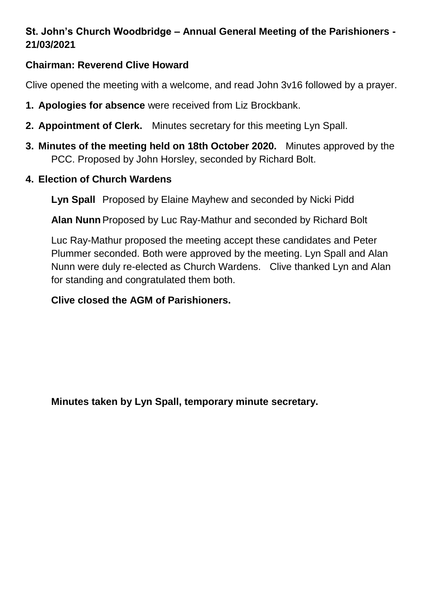# **St. John's Church Woodbridge – Annual General Meeting of the Parishioners - 21/03/2021**

#### **Chairman: Reverend Clive Howard**

Clive opened the meeting with a welcome, and read John 3v16 followed by a prayer.

- **1. Apologies for absence** were received from Liz Brockbank.
- **2. Appointment of Clerk.** Minutes secretary for this meeting Lyn Spall.
- **3. Minutes of the meeting held on 18th October 2020.** Minutes approved by the PCC. Proposed by John Horsley, seconded by Richard Bolt.
- **4. Election of Church Wardens**

**Lyn Spall** Proposed by Elaine Mayhew and seconded by Nicki Pidd

**Alan Nunn**Proposed by Luc Ray-Mathur and seconded by Richard Bolt

Luc Ray-Mathur proposed the meeting accept these candidates and Peter Plummer seconded. Both were approved by the meeting. Lyn Spall and Alan Nunn were duly re-elected as Church Wardens. Clive thanked Lyn and Alan for standing and congratulated them both.

#### **Clive closed the AGM of Parishioners.**

**Minutes taken by Lyn Spall, temporary minute secretary.**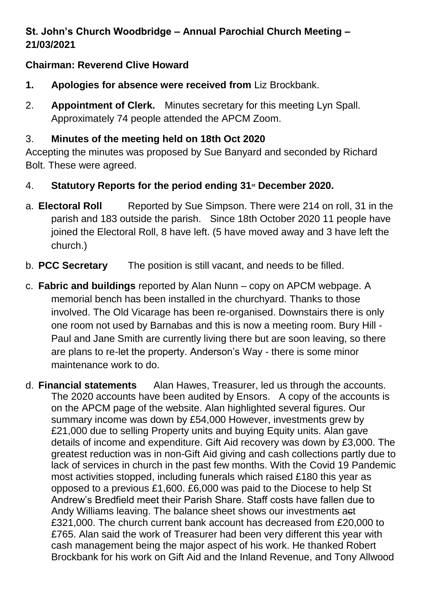# **St. John's Church Woodbridge – Annual Parochial Church Meeting – 21/03/2021**

## **Chairman: Reverend Clive Howard**

- **1. Apologies for absence were received from** Liz Brockbank.
- 2. **Appointment of Clerk.** Minutes secretary for this meeting Lyn Spall. Approximately 74 people attended the APCM Zoom.

## 3. **Minutes of the meeting held on 18th Oct 2020**

Accepting the minutes was proposed by Sue Banyard and seconded by Richard Bolt. These were agreed.

- 4. **Statutory Reports for the period ending 31st December 2020.**
- a. **Electoral Roll** Reported by Sue Simpson. There were 214 on roll, 31 in the parish and 183 outside the parish. Since 18th October 2020 11 people have joined the Electoral Roll, 8 have left. (5 have moved away and 3 have left the church.)
- b. **PCC Secretary** The position is still vacant, and needs to be filled.
- c. **Fabric and buildings** reported by Alan Nunn copy on APCM webpage. A memorial bench has been installed in the churchyard. Thanks to those involved. The Old Vicarage has been re-organised. Downstairs there is only one room not used by Barnabas and this is now a meeting room. Bury Hill - Paul and Jane Smith are currently living there but are soon leaving, so there are plans to re-let the property. Anderson's Way - there is some minor maintenance work to do.

d. **Financial statements** Alan Hawes, Treasurer, led us through the accounts. The 2020 accounts have been audited by Ensors. A copy of the accounts is on the APCM page of the website. Alan highlighted several figures. Our summary income was down by £54,000 However, investments grew by £21,000 due to selling Property units and buying Equity units. Alan gave details of income and expenditure. Gift Aid recovery was down by £3,000. The greatest reduction was in non-Gift Aid giving and cash collections partly due to lack of services in church in the past few months. With the Covid 19 Pandemic most activities stopped, including funerals which raised £180 this year as opposed to a previous £1,600. £6,000 was paid to the Diocese to help St Andrew's Bredfield meet their Parish Share. Staff costs have fallen due to Andy Williams leaving. The balance sheet shows our investments act £321,000. The church current bank account has decreased from £20,000 to £765. Alan said the work of Treasurer had been very different this year with cash management being the major aspect of his work. He thanked Robert Brockbank for his work on Gift Aid and the Inland Revenue, and Tony Allwood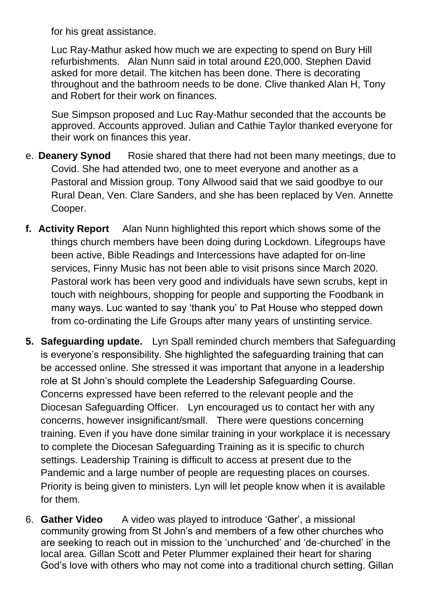for his great assistance.

Luc Ray-Mathur asked how much we are expecting to spend on Bury Hill refurbishments. Alan Nunn said in total around £20,000. Stephen David asked for more detail. The kitchen has been done. There is decorating throughout and the bathroom needs to be done. Clive thanked Alan H, Tony and Robert for their work on finances.

Sue Simpson proposed and Luc Ray-Mathur seconded that the accounts be approved. Accounts approved. Julian and Cathie Taylor thanked everyone for their work on finances this year.

- e. **Deanery Synod** Rosie shared that there had not been many meetings, due to Covid. She had attended two, one to meet everyone and another as a Pastoral and Mission group. Tony Allwood said that we said goodbye to our Rural Dean, Ven. Clare Sanders, and she has been replaced by Ven. Annette Cooper.
- **f. Activity Report** Alan Nunn highlighted this report which shows some of the things church members have been doing during Lockdown. Lifegroups have been active, Bible Readings and Intercessions have adapted for on-line services, Finny Music has not been able to visit prisons since March 2020. Pastoral work has been very good and individuals have sewn scrubs, kept in touch with neighbours, shopping for people and supporting the Foodbank in many ways. Luc wanted to say 'thank you' to Pat House who stepped down from co-ordinating the Life Groups after many years of unstinting service.
- **5. Safeguarding update.** Lyn Spall reminded church members that Safeguarding is everyone's responsibility. She highlighted the safeguarding training that can be accessed online. She stressed it was important that anyone in a leadership role at St John's should complete the Leadership Safeguarding Course. Concerns expressed have been referred to the relevant people and the Diocesan Safeguarding Officer. Lyn encouraged us to contact her with any concerns, however insignificant/small. There were questions concerning training. Even if you have done similar training in your workplace it is necessary to complete the Diocesan Safeguarding Training as it is specific to church settings. Leadership Training is difficult to access at present due to the Pandemic and a large number of people are requesting places on courses. Priority is being given to ministers. Lyn will let people know when it is available for them.
- 6. **Gather Video** A video was played to introduce 'Gather', a missional community growing from St John's and members of a few other churches who are seeking to reach out in mission to the 'unchurched' and 'de-churched' in the local area. Gillan Scott and Peter Plummer explained their heart for sharing God's love with others who may not come into a traditional church setting. Gillan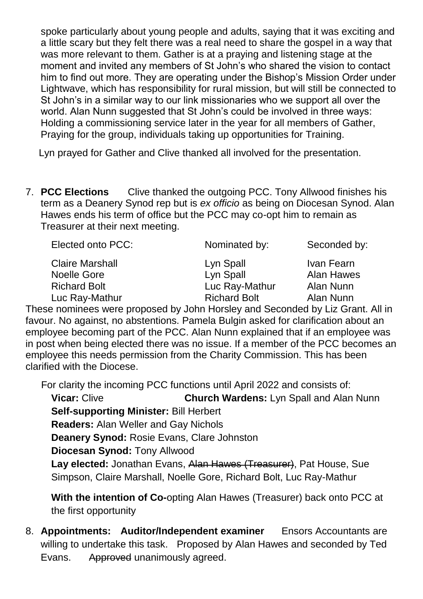spoke particularly about young people and adults, saying that it was exciting and a little scary but they felt there was a real need to share the gospel in a way that was more relevant to them. Gather is at a praying and listening stage at the moment and invited any members of St John's who shared the vision to contact him to find out more. They are operating under the Bishop's Mission Order under Lightwave, which has responsibility for rural mission, but will still be connected to St John's in a similar way to our link missionaries who we support all over the world. Alan Nunn suggested that St John's could be involved in three ways: Holding a commissioning service later in the year for all members of Gather, Praying for the group, individuals taking up opportunities for Training.

Lyn prayed for Gather and Clive thanked all involved for the presentation.

7. **PCC Elections** Clive thanked the outgoing PCC. Tony Allwood finishes his term as a Deanery Synod rep but is *ex officio* as being on Diocesan Synod. Alan Hawes ends his term of office but the PCC may co-opt him to remain as Treasurer at their next meeting.

| Elected onto PCC:      | Nominated by:       | Seconded by: |
|------------------------|---------------------|--------------|
| <b>Claire Marshall</b> | Lyn Spall           | Ivan Fearn   |
| <b>Noelle Gore</b>     | Lyn Spall           | Alan Hawes   |
| <b>Richard Bolt</b>    | Luc Ray-Mathur      | Alan Nunn    |
| Luc Ray-Mathur         | <b>Richard Bolt</b> | Alan Nunn    |

These nominees were proposed by John Horsley and Seconded by Liz Grant. All in favour. No against, no abstentions. Pamela Bulgin asked for clarification about an employee becoming part of the PCC. Alan Nunn explained that if an employee was in post when being elected there was no issue. If a member of the PCC becomes an employee this needs permission from the Charity Commission. This has been clarified with the Diocese.

For clarity the incoming PCC functions until April 2022 and consists of:

**Vicar:** Clive **Church Wardens:** Lyn Spall and Alan Nunn

**Self-supporting Minister:** Bill Herbert

**Readers:** Alan Weller and Gay Nichols

**Deanery Synod:** Rosie Evans, Clare Johnston

**Diocesan Synod:** Tony Allwood

**Lay elected:** Jonathan Evans, Alan Hawes (Treasurer), Pat House, Sue Simpson, Claire Marshall, Noelle Gore, Richard Bolt, Luc Ray-Mathur

**With the intention of Co-**opting Alan Hawes (Treasurer) back onto PCC at the first opportunity

8. **Appointments: Auditor/Independent examiner** Ensors Accountants are willing to undertake this task. Proposed by Alan Hawes and seconded by Ted Evans. Approved unanimously agreed.